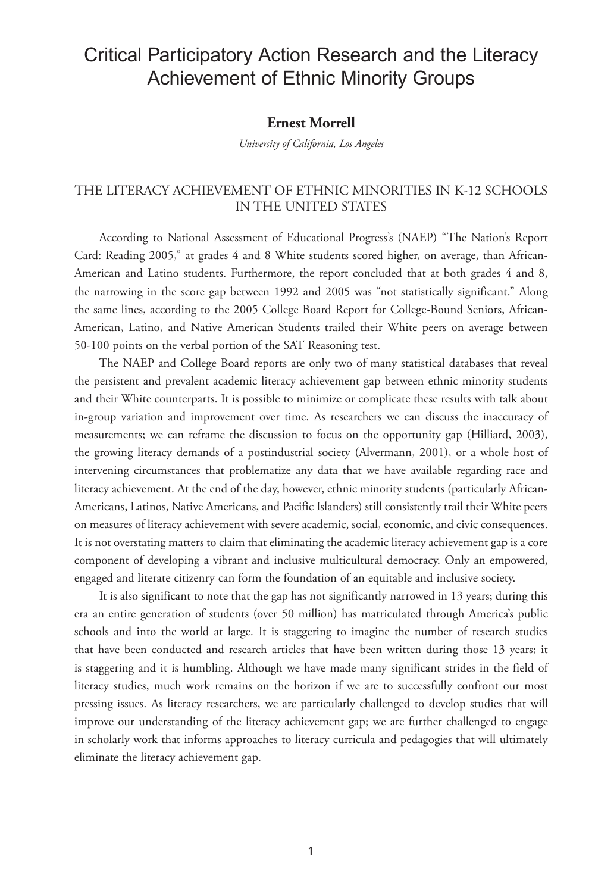# Critical Participatory Action Research and the Literacy Achievement of Ethnic Minority Groups

# **Ernest Morrell**

*University of California, Los Angeles*

# THE LITERACY ACHIEVEMENT OF ETHNIC MINORITIES IN K-12 SCHOOLS IN THE UNITED STATES

According to National Assessment of Educational Progress's (NAEP) "The Nation's Report Card: Reading 2005," at grades 4 and 8 White students scored higher, on average, than African-American and Latino students. Furthermore, the report concluded that at both grades 4 and 8, the narrowing in the score gap between 1992 and 2005 was "not statistically significant." Along the same lines, according to the 2005 College Board Report for College-Bound Seniors, African-American, Latino, and Native American Students trailed their White peers on average between 50-100 points on the verbal portion of the SAT Reasoning test.

The NAEP and College Board reports are only two of many statistical databases that reveal the persistent and prevalent academic literacy achievement gap between ethnic minority students and their White counterparts. It is possible to minimize or complicate these results with talk about in-group variation and improvement over time. As researchers we can discuss the inaccuracy of measurements; we can reframe the discussion to focus on the opportunity gap (Hilliard, 2003), the growing literacy demands of a postindustrial society (Alvermann, 2001), or a whole host of intervening circumstances that problematize any data that we have available regarding race and literacy achievement. At the end of the day, however, ethnic minority students (particularly African-Americans, Latinos, Native Americans, and Pacific Islanders) still consistently trail their White peers on measures of literacy achievement with severe academic, social, economic, and civic consequences. It is not overstating matters to claim that eliminating the academic literacy achievement gap is a core component of developing a vibrant and inclusive multicultural democracy. Only an empowered, engaged and literate citizenry can form the foundation of an equitable and inclusive society.

It is also significant to note that the gap has not significantly narrowed in 13 years; during this era an entire generation of students (over 50 million) has matriculated through America's public schools and into the world at large. It is staggering to imagine the number of research studies that have been conducted and research articles that have been written during those 13 years; it is staggering and it is humbling. Although we have made many significant strides in the field of literacy studies, much work remains on the horizon if we are to successfully confront our most pressing issues. As literacy researchers, we are particularly challenged to develop studies that will improve our understanding of the literacy achievement gap; we are further challenged to engage in scholarly work that informs approaches to literacy curricula and pedagogies that will ultimately eliminate the literacy achievement gap.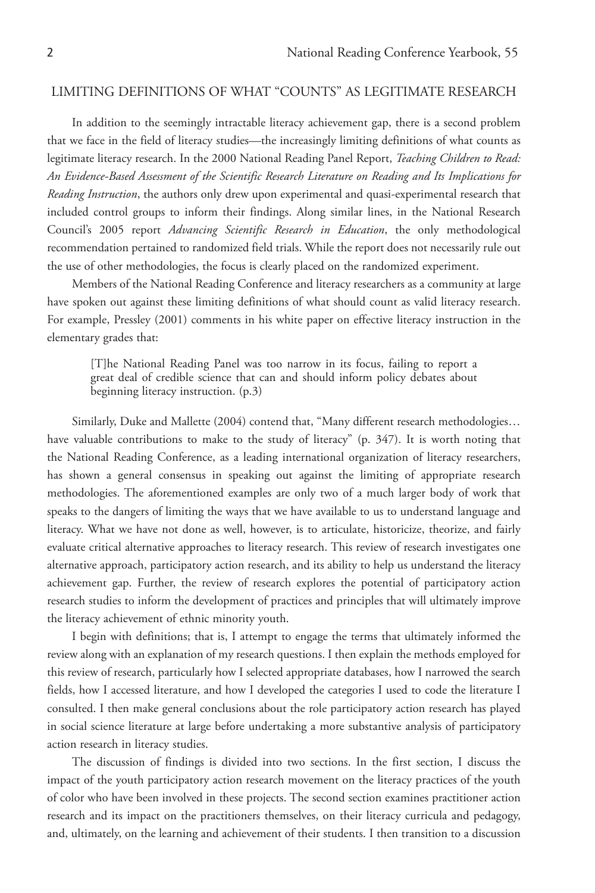# LIMITING DEFINITIONS OF WHAT "COUNTS" AS LEGITIMATE RESEARCH

In addition to the seemingly intractable literacy achievement gap, there is a second problem that we face in the field of literacy studies—the increasingly limiting definitions of what counts as legitimate literacy research. In the 2000 National Reading Panel Report, *Teaching Children to Read: An Evidence-Based Assessment of the Scientific Research Literature on Reading and Its Implications for Reading Instruction*, the authors only drew upon experimental and quasi-experimental research that included control groups to inform their findings. Along similar lines, in the National Research Council's 2005 report *Advancing Scientific Research in Education*, the only methodological recommendation pertained to randomized field trials. While the report does not necessarily rule out the use of other methodologies, the focus is clearly placed on the randomized experiment.

Members of the National Reading Conference and literacy researchers as a community at large have spoken out against these limiting definitions of what should count as valid literacy research. For example, Pressley (2001) comments in his white paper on effective literacy instruction in the elementary grades that:

[T]he National Reading Panel was too narrow in its focus, failing to report a great deal of credible science that can and should inform policy debates about beginning literacy instruction. (p.3)

Similarly, Duke and Mallette (2004) contend that, "Many different research methodologies… have valuable contributions to make to the study of literacy" (p. 347). It is worth noting that the National Reading Conference, as a leading international organization of literacy researchers, has shown a general consensus in speaking out against the limiting of appropriate research methodologies. The aforementioned examples are only two of a much larger body of work that speaks to the dangers of limiting the ways that we have available to us to understand language and literacy. What we have not done as well, however, is to articulate, historicize, theorize, and fairly evaluate critical alternative approaches to literacy research. This review of research investigates one alternative approach, participatory action research, and its ability to help us understand the literacy achievement gap. Further, the review of research explores the potential of participatory action research studies to inform the development of practices and principles that will ultimately improve the literacy achievement of ethnic minority youth.

I begin with definitions; that is, I attempt to engage the terms that ultimately informed the review along with an explanation of my research questions. I then explain the methods employed for this review of research, particularly how I selected appropriate databases, how I narrowed the search fields, how I accessed literature, and how I developed the categories I used to code the literature I consulted. I then make general conclusions about the role participatory action research has played in social science literature at large before undertaking a more substantive analysis of participatory action research in literacy studies.

The discussion of findings is divided into two sections. In the first section, I discuss the impact of the youth participatory action research movement on the literacy practices of the youth of color who have been involved in these projects. The second section examines practitioner action research and its impact on the practitioners themselves, on their literacy curricula and pedagogy, and, ultimately, on the learning and achievement of their students. I then transition to a discussion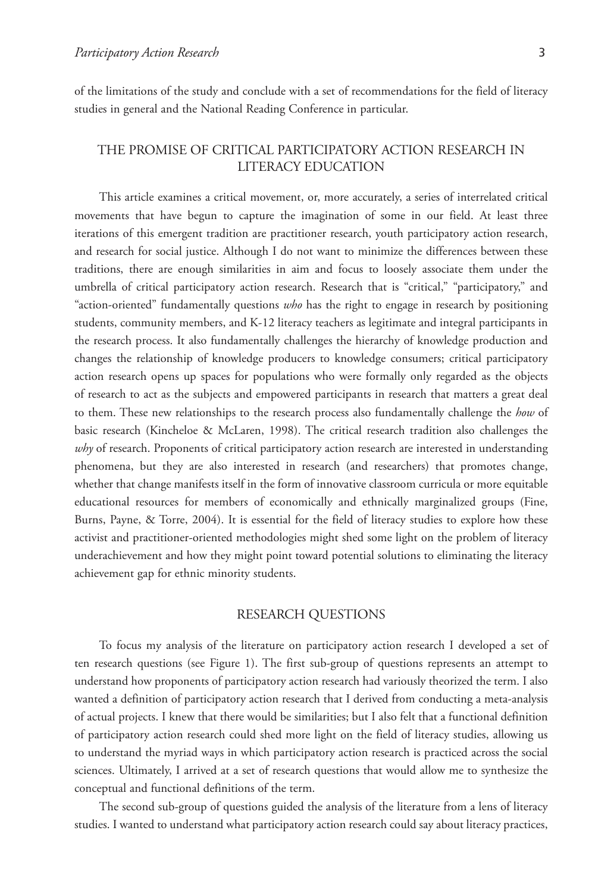of the limitations of the study and conclude with a set of recommendations for the field of literacy studies in general and the National Reading Conference in particular.

# THE PROMISE OF CRITICAL PARTICIPATORY ACTION RESEARCH IN LITERACY EDUCATION

This article examines a critical movement, or, more accurately, a series of interrelated critical movements that have begun to capture the imagination of some in our field. At least three iterations of this emergent tradition are practitioner research, youth participatory action research, and research for social justice. Although I do not want to minimize the differences between these traditions, there are enough similarities in aim and focus to loosely associate them under the umbrella of critical participatory action research. Research that is "critical," "participatory," and "action-oriented" fundamentally questions *who* has the right to engage in research by positioning students, community members, and K-12 literacy teachers as legitimate and integral participants in the research process. It also fundamentally challenges the hierarchy of knowledge production and changes the relationship of knowledge producers to knowledge consumers; critical participatory action research opens up spaces for populations who were formally only regarded as the objects of research to act as the subjects and empowered participants in research that matters a great deal to them. These new relationships to the research process also fundamentally challenge the *how* of basic research (Kincheloe & McLaren, 1998). The critical research tradition also challenges the *why* of research. Proponents of critical participatory action research are interested in understanding phenomena, but they are also interested in research (and researchers) that promotes change, whether that change manifests itself in the form of innovative classroom curricula or more equitable educational resources for members of economically and ethnically marginalized groups (Fine, Burns, Payne, & Torre, 2004). It is essential for the field of literacy studies to explore how these activist and practitioner-oriented methodologies might shed some light on the problem of literacy underachievement and how they might point toward potential solutions to eliminating the literacy achievement gap for ethnic minority students.

## RESEARCH QUESTIONS

To focus my analysis of the literature on participatory action research I developed a set of ten research questions (see Figure 1). The first sub-group of questions represents an attempt to understand how proponents of participatory action research had variously theorized the term. I also wanted a definition of participatory action research that I derived from conducting a meta-analysis of actual projects. I knew that there would be similarities; but I also felt that a functional definition of participatory action research could shed more light on the field of literacy studies, allowing us to understand the myriad ways in which participatory action research is practiced across the social sciences. Ultimately, I arrived at a set of research questions that would allow me to synthesize the conceptual and functional definitions of the term.

The second sub-group of questions guided the analysis of the literature from a lens of literacy studies. I wanted to understand what participatory action research could say about literacy practices,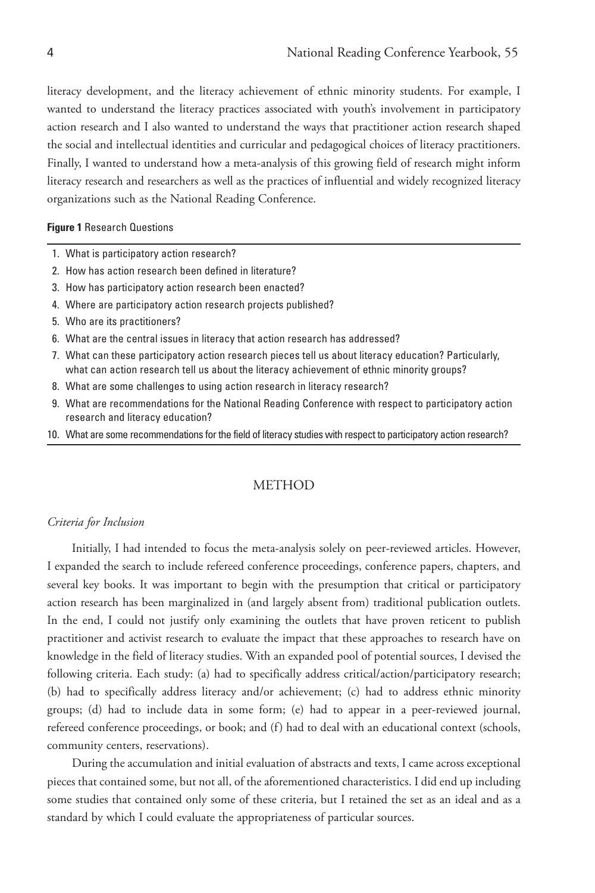literacy development, and the literacy achievement of ethnic minority students. For example, I wanted to understand the literacy practices associated with youth's involvement in participatory action research and I also wanted to understand the ways that practitioner action research shaped the social and intellectual identities and curricular and pedagogical choices of literacy practitioners. Finally, I wanted to understand how a meta-analysis of this growing field of research might inform literacy research and researchers as well as the practices of influential and widely recognized literacy organizations such as the National Reading Conference.

**Figure 1** Research Questions

- 1. What is participatory action research?
- 2. How has action research been defined in literature?
- 3. How has participatory action research been enacted?
- 4. Where are participatory action research projects published?
- 5. Who are its practitioners?
- 6. What are the central issues in literacy that action research has addressed?
- 7. What can these participatory action research pieces tell us about literacy education? Particularly, what can action research tell us about the literacy achievement of ethnic minority groups?
- 8. What are some challenges to using action research in literacy research?
- 9. What are recommendations for the National Reading Conference with respect to participatory action research and literacy education?
- 10. What are some recommendations for the field of literacy studies with respect to participatory action research?

#### **METHOD**

#### *Criteria for Inclusion*

Initially, I had intended to focus the meta-analysis solely on peer-reviewed articles. However, I expanded the search to include refereed conference proceedings, conference papers, chapters, and several key books. It was important to begin with the presumption that critical or participatory action research has been marginalized in (and largely absent from) traditional publication outlets. In the end, I could not justify only examining the outlets that have proven reticent to publish practitioner and activist research to evaluate the impact that these approaches to research have on knowledge in the field of literacy studies. With an expanded pool of potential sources, I devised the following criteria. Each study: (a) had to specifically address critical/action/participatory research; (b) had to specifically address literacy and/or achievement; (c) had to address ethnic minority groups; (d) had to include data in some form; (e) had to appear in a peer-reviewed journal, refereed conference proceedings, or book; and (f) had to deal with an educational context (schools, community centers, reservations).

During the accumulation and initial evaluation of abstracts and texts, I came across exceptional pieces that contained some, but not all, of the aforementioned characteristics. I did end up including some studies that contained only some of these criteria, but I retained the set as an ideal and as a standard by which I could evaluate the appropriateness of particular sources.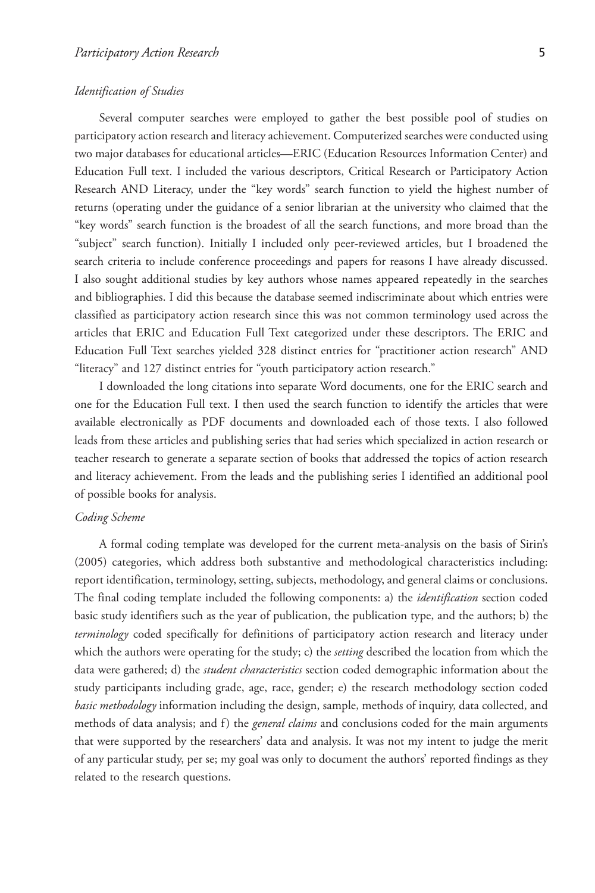#### *Identification of Studies*

Several computer searches were employed to gather the best possible pool of studies on participatory action research and literacy achievement. Computerized searches were conducted using two major databases for educational articles—ERIC (Education Resources Information Center) and Education Full text. I included the various descriptors, Critical Research or Participatory Action Research AND Literacy, under the "key words" search function to yield the highest number of returns (operating under the guidance of a senior librarian at the university who claimed that the "key words" search function is the broadest of all the search functions, and more broad than the "subject" search function). Initially I included only peer-reviewed articles, but I broadened the search criteria to include conference proceedings and papers for reasons I have already discussed. I also sought additional studies by key authors whose names appeared repeatedly in the searches and bibliographies. I did this because the database seemed indiscriminate about which entries were classified as participatory action research since this was not common terminology used across the articles that ERIC and Education Full Text categorized under these descriptors. The ERIC and Education Full Text searches yielded 328 distinct entries for "practitioner action research" AND "literacy" and 127 distinct entries for "youth participatory action research."

I downloaded the long citations into separate Word documents, one for the ERIC search and one for the Education Full text. I then used the search function to identify the articles that were available electronically as PDF documents and downloaded each of those texts. I also followed leads from these articles and publishing series that had series which specialized in action research or teacher research to generate a separate section of books that addressed the topics of action research and literacy achievement. From the leads and the publishing series I identified an additional pool of possible books for analysis.

### *Coding Scheme*

A formal coding template was developed for the current meta-analysis on the basis of Sirin's (2005) categories, which address both substantive and methodological characteristics including: report identification, terminology, setting, subjects, methodology, and general claims or conclusions. The final coding template included the following components: a) the *identification* section coded basic study identifiers such as the year of publication, the publication type, and the authors; b) the *terminology* coded specifically for definitions of participatory action research and literacy under which the authors were operating for the study; c) the *setting* described the location from which the data were gathered; d) the *student characteristics* section coded demographic information about the study participants including grade, age, race, gender; e) the research methodology section coded *basic methodology* information including the design, sample, methods of inquiry, data collected, and methods of data analysis; and f) the *general claims* and conclusions coded for the main arguments that were supported by the researchers' data and analysis. It was not my intent to judge the merit of any particular study, per se; my goal was only to document the authors' reported findings as they related to the research questions.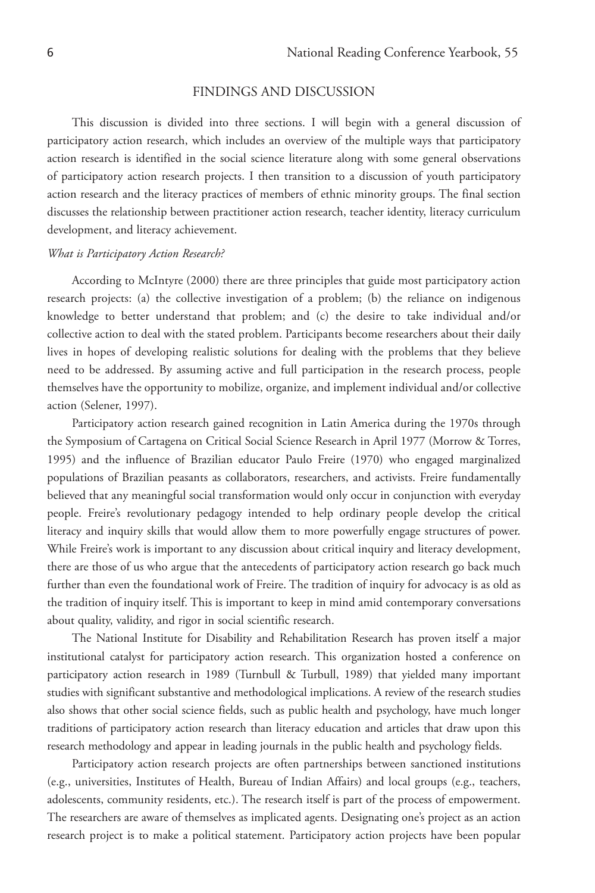## FINDINGS AND DISCUSSION

This discussion is divided into three sections. I will begin with a general discussion of participatory action research, which includes an overview of the multiple ways that participatory action research is identified in the social science literature along with some general observations of participatory action research projects. I then transition to a discussion of youth participatory action research and the literacy practices of members of ethnic minority groups. The final section discusses the relationship between practitioner action research, teacher identity, literacy curriculum development, and literacy achievement.

#### *What is Participatory Action Research?*

According to McIntyre (2000) there are three principles that guide most participatory action research projects: (a) the collective investigation of a problem; (b) the reliance on indigenous knowledge to better understand that problem; and (c) the desire to take individual and/or collective action to deal with the stated problem. Participants become researchers about their daily lives in hopes of developing realistic solutions for dealing with the problems that they believe need to be addressed. By assuming active and full participation in the research process, people themselves have the opportunity to mobilize, organize, and implement individual and/or collective action (Selener, 1997).

Participatory action research gained recognition in Latin America during the 1970s through the Symposium of Cartagena on Critical Social Science Research in April 1977 (Morrow & Torres, 1995) and the influence of Brazilian educator Paulo Freire (1970) who engaged marginalized populations of Brazilian peasants as collaborators, researchers, and activists. Freire fundamentally believed that any meaningful social transformation would only occur in conjunction with everyday people. Freire's revolutionary pedagogy intended to help ordinary people develop the critical literacy and inquiry skills that would allow them to more powerfully engage structures of power. While Freire's work is important to any discussion about critical inquiry and literacy development, there are those of us who argue that the antecedents of participatory action research go back much further than even the foundational work of Freire. The tradition of inquiry for advocacy is as old as the tradition of inquiry itself. This is important to keep in mind amid contemporary conversations about quality, validity, and rigor in social scientific research.

The National Institute for Disability and Rehabilitation Research has proven itself a major institutional catalyst for participatory action research. This organization hosted a conference on participatory action research in 1989 (Turnbull & Turbull, 1989) that yielded many important studies with significant substantive and methodological implications. A review of the research studies also shows that other social science fields, such as public health and psychology, have much longer traditions of participatory action research than literacy education and articles that draw upon this research methodology and appear in leading journals in the public health and psychology fields.

Participatory action research projects are often partnerships between sanctioned institutions (e.g., universities, Institutes of Health, Bureau of Indian Affairs) and local groups (e.g., teachers, adolescents, community residents, etc.). The research itself is part of the process of empowerment. The researchers are aware of themselves as implicated agents. Designating one's project as an action research project is to make a political statement. Participatory action projects have been popular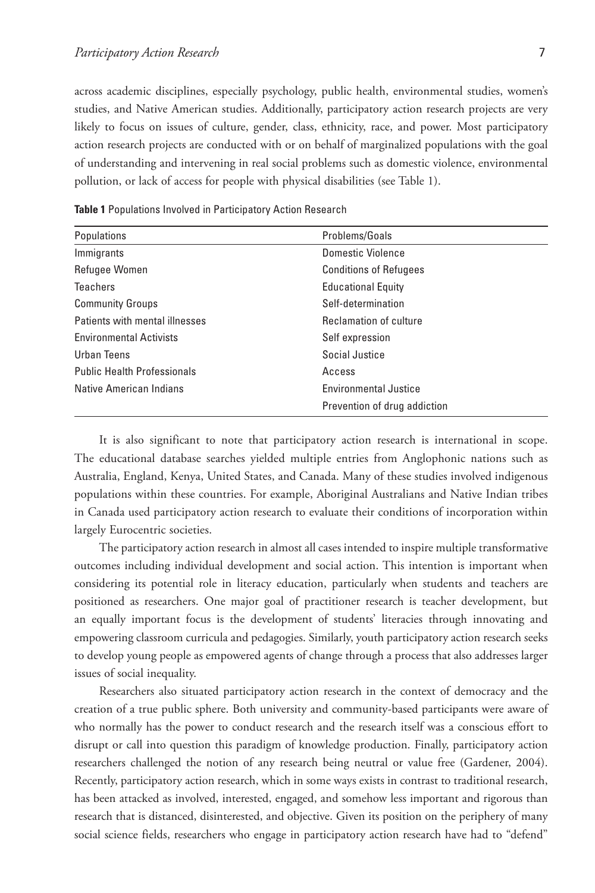across academic disciplines, especially psychology, public health, environmental studies, women's studies, and Native American studies. Additionally, participatory action research projects are very likely to focus on issues of culture, gender, class, ethnicity, race, and power. Most participatory action research projects are conducted with or on behalf of marginalized populations with the goal of understanding and intervening in real social problems such as domestic violence, environmental pollution, or lack of access for people with physical disabilities (see Table 1).

| Populations                        | Problems/Goals                |
|------------------------------------|-------------------------------|
| Immigrants                         | Domestic Violence             |
| Refugee Women                      | <b>Conditions of Refugees</b> |
| <b>Teachers</b>                    | <b>Educational Equity</b>     |
| <b>Community Groups</b>            | Self-determination            |
| Patients with mental illnesses     | Reclamation of culture        |
| <b>Environmental Activists</b>     | Self expression               |
| Urban Teens                        | Social Justice                |
| <b>Public Health Professionals</b> | Access                        |
| Native American Indians            | <b>Environmental Justice</b>  |
|                                    | Prevention of drug addiction  |

**Table 1** Populations Involved in Participatory Action Research

It is also significant to note that participatory action research is international in scope. The educational database searches yielded multiple entries from Anglophonic nations such as Australia, England, Kenya, United States, and Canada. Many of these studies involved indigenous populations within these countries. For example, Aboriginal Australians and Native Indian tribes in Canada used participatory action research to evaluate their conditions of incorporation within largely Eurocentric societies.

The participatory action research in almost all cases intended to inspire multiple transformative outcomes including individual development and social action. This intention is important when considering its potential role in literacy education, particularly when students and teachers are positioned as researchers. One major goal of practitioner research is teacher development, but an equally important focus is the development of students' literacies through innovating and empowering classroom curricula and pedagogies. Similarly, youth participatory action research seeks to develop young people as empowered agents of change through a process that also addresses larger issues of social inequality.

Researchers also situated participatory action research in the context of democracy and the creation of a true public sphere. Both university and community-based participants were aware of who normally has the power to conduct research and the research itself was a conscious effort to disrupt or call into question this paradigm of knowledge production. Finally, participatory action researchers challenged the notion of any research being neutral or value free (Gardener, 2004). Recently, participatory action research, which in some ways exists in contrast to traditional research, has been attacked as involved, interested, engaged, and somehow less important and rigorous than research that is distanced, disinterested, and objective. Given its position on the periphery of many social science fields, researchers who engage in participatory action research have had to "defend"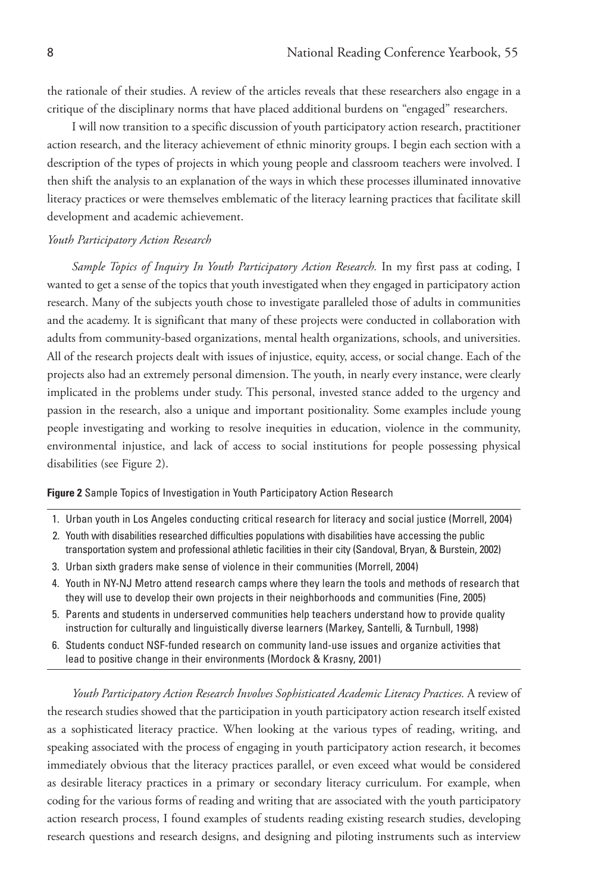the rationale of their studies. A review of the articles reveals that these researchers also engage in a critique of the disciplinary norms that have placed additional burdens on "engaged" researchers.

I will now transition to a specific discussion of youth participatory action research, practitioner action research, and the literacy achievement of ethnic minority groups. I begin each section with a description of the types of projects in which young people and classroom teachers were involved. I then shift the analysis to an explanation of the ways in which these processes illuminated innovative literacy practices or were themselves emblematic of the literacy learning practices that facilitate skill development and academic achievement.

## *Youth Participatory Action Research*

*Sample Topics of Inquiry In Youth Participatory Action Research.* In my first pass at coding, I wanted to get a sense of the topics that youth investigated when they engaged in participatory action research. Many of the subjects youth chose to investigate paralleled those of adults in communities and the academy. It is significant that many of these projects were conducted in collaboration with adults from community-based organizations, mental health organizations, schools, and universities. All of the research projects dealt with issues of injustice, equity, access, or social change. Each of the projects also had an extremely personal dimension. The youth, in nearly every instance, were clearly implicated in the problems under study. This personal, invested stance added to the urgency and passion in the research, also a unique and important positionality. Some examples include young people investigating and working to resolve inequities in education, violence in the community, environmental injustice, and lack of access to social institutions for people possessing physical disabilities (see Figure 2).

#### **Figure 2** Sample Topics of Investigation in Youth Participatory Action Research

- 1. Urban youth in Los Angeles conducting critical research for literacy and social justice (Morrell, 2004)
- 2. Youth with disabilities researched difficulties populations with disabilities have accessing the public transportation system and professional athletic facilities in their city (Sandoval, Bryan, & Burstein, 2002)
- 3. Urban sixth graders make sense of violence in their communities (Morrell, 2004)
- 4. Youth in NY-NJ Metro attend research camps where they learn the tools and methods of research that they will use to develop their own projects in their neighborhoods and communities (Fine, 2005)
- 5. Parents and students in underserved communities help teachers understand how to provide quality instruction for culturally and linguistically diverse learners (Markey, Santelli, & Turnbull, 1998)
- 6. Students conduct NSF-funded research on community land-use issues and organize activities that lead to positive change in their environments (Mordock & Krasny, 2001)

*Youth Participatory Action Research Involves Sophisticated Academic Literacy Practices.* A review of the research studies showed that the participation in youth participatory action research itself existed as a sophisticated literacy practice. When looking at the various types of reading, writing, and speaking associated with the process of engaging in youth participatory action research, it becomes immediately obvious that the literacy practices parallel, or even exceed what would be considered as desirable literacy practices in a primary or secondary literacy curriculum. For example, when coding for the various forms of reading and writing that are associated with the youth participatory action research process, I found examples of students reading existing research studies, developing research questions and research designs, and designing and piloting instruments such as interview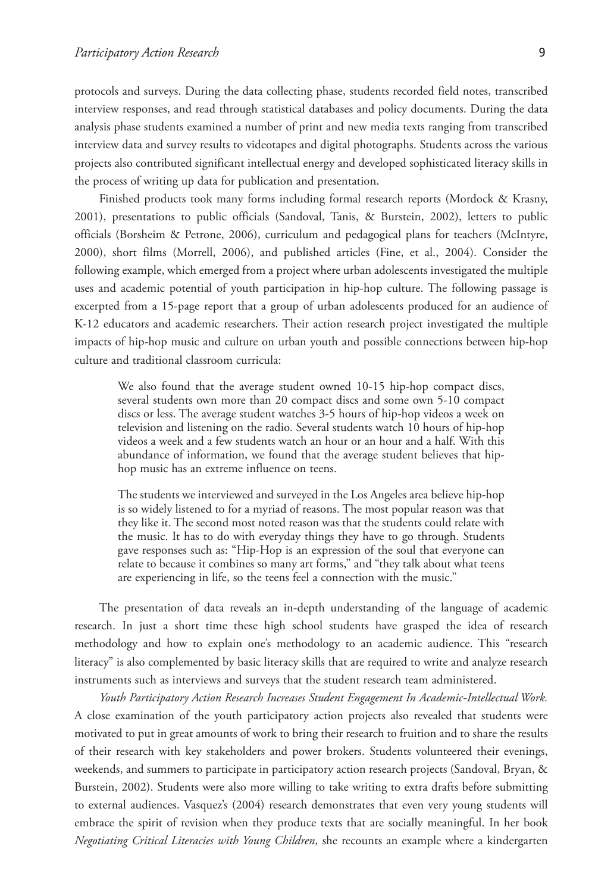protocols and surveys. During the data collecting phase, students recorded field notes, transcribed interview responses, and read through statistical databases and policy documents. During the data analysis phase students examined a number of print and new media texts ranging from transcribed interview data and survey results to videotapes and digital photographs. Students across the various projects also contributed significant intellectual energy and developed sophisticated literacy skills in the process of writing up data for publication and presentation.

Finished products took many forms including formal research reports (Mordock & Krasny, 2001), presentations to public officials (Sandoval, Tanis, & Burstein, 2002), letters to public officials (Borsheim & Petrone, 2006), curriculum and pedagogical plans for teachers (McIntyre, 2000), short films (Morrell, 2006), and published articles (Fine, et al., 2004). Consider the following example, which emerged from a project where urban adolescents investigated the multiple uses and academic potential of youth participation in hip-hop culture. The following passage is excerpted from a 15-page report that a group of urban adolescents produced for an audience of K-12 educators and academic researchers. Their action research project investigated the multiple impacts of hip-hop music and culture on urban youth and possible connections between hip-hop culture and traditional classroom curricula:

We also found that the average student owned 10-15 hip-hop compact discs, several students own more than 20 compact discs and some own 5-10 compact discs or less. The average student watches 3-5 hours of hip-hop videos a week on television and listening on the radio. Several students watch 10 hours of hip-hop videos a week and a few students watch an hour or an hour and a half. With this abundance of information, we found that the average student believes that hiphop music has an extreme influence on teens.

The students we interviewed and surveyed in the Los Angeles area believe hip-hop is so widely listened to for a myriad of reasons. The most popular reason was that they like it. The second most noted reason was that the students could relate with the music. It has to do with everyday things they have to go through. Students gave responses such as: "Hip-Hop is an expression of the soul that everyone can relate to because it combines so many art forms," and "they talk about what teens are experiencing in life, so the teens feel a connection with the music."

The presentation of data reveals an in-depth understanding of the language of academic research. In just a short time these high school students have grasped the idea of research methodology and how to explain one's methodology to an academic audience. This "research literacy" is also complemented by basic literacy skills that are required to write and analyze research instruments such as interviews and surveys that the student research team administered.

*Youth Participatory Action Research Increases Student Engagement In Academic-Intellectual Work.* A close examination of the youth participatory action projects also revealed that students were motivated to put in great amounts of work to bring their research to fruition and to share the results of their research with key stakeholders and power brokers. Students volunteered their evenings, weekends, and summers to participate in participatory action research projects (Sandoval, Bryan, & Burstein, 2002). Students were also more willing to take writing to extra drafts before submitting to external audiences. Vasquez's (2004) research demonstrates that even very young students will embrace the spirit of revision when they produce texts that are socially meaningful. In her book *Negotiating Critical Literacies with Young Children*, she recounts an example where a kindergarten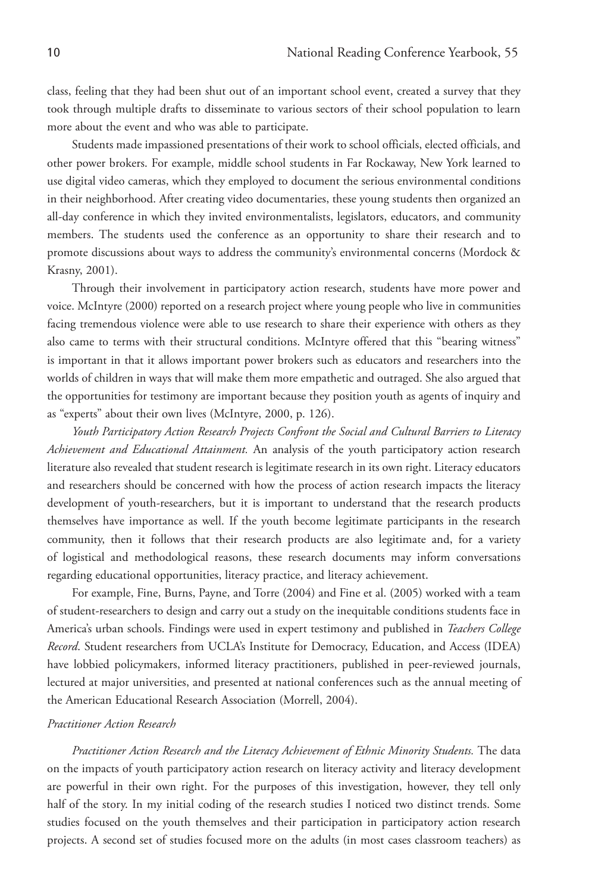class, feeling that they had been shut out of an important school event, created a survey that they took through multiple drafts to disseminate to various sectors of their school population to learn more about the event and who was able to participate.

Students made impassioned presentations of their work to school officials, elected officials, and other power brokers. For example, middle school students in Far Rockaway, New York learned to use digital video cameras, which they employed to document the serious environmental conditions in their neighborhood. After creating video documentaries, these young students then organized an all-day conference in which they invited environmentalists, legislators, educators, and community members. The students used the conference as an opportunity to share their research and to promote discussions about ways to address the community's environmental concerns (Mordock & Krasny, 2001).

Through their involvement in participatory action research, students have more power and voice. McIntyre (2000) reported on a research project where young people who live in communities facing tremendous violence were able to use research to share their experience with others as they also came to terms with their structural conditions. McIntyre offered that this "bearing witness" is important in that it allows important power brokers such as educators and researchers into the worlds of children in ways that will make them more empathetic and outraged. She also argued that the opportunities for testimony are important because they position youth as agents of inquiry and as "experts" about their own lives (McIntyre, 2000, p. 126).

*Youth Participatory Action Research Projects Confront the Social and Cultural Barriers to Literacy Achievement and Educational Attainment.* An analysis of the youth participatory action research literature also revealed that student research is legitimate research in its own right. Literacy educators and researchers should be concerned with how the process of action research impacts the literacy development of youth-researchers, but it is important to understand that the research products themselves have importance as well. If the youth become legitimate participants in the research community, then it follows that their research products are also legitimate and, for a variety of logistical and methodological reasons, these research documents may inform conversations regarding educational opportunities, literacy practice, and literacy achievement.

For example, Fine, Burns, Payne, and Torre (2004) and Fine et al. (2005) worked with a team of student-researchers to design and carry out a study on the inequitable conditions students face in America's urban schools. Findings were used in expert testimony and published in *Teachers College Record*. Student researchers from UCLA's Institute for Democracy, Education, and Access (IDEA) have lobbied policymakers, informed literacy practitioners, published in peer-reviewed journals, lectured at major universities, and presented at national conferences such as the annual meeting of the American Educational Research Association (Morrell, 2004).

## *Practitioner Action Research*

*Practitioner Action Research and the Literacy Achievement of Ethnic Minority Students.* The data on the impacts of youth participatory action research on literacy activity and literacy development are powerful in their own right. For the purposes of this investigation, however, they tell only half of the story. In my initial coding of the research studies I noticed two distinct trends. Some studies focused on the youth themselves and their participation in participatory action research projects. A second set of studies focused more on the adults (in most cases classroom teachers) as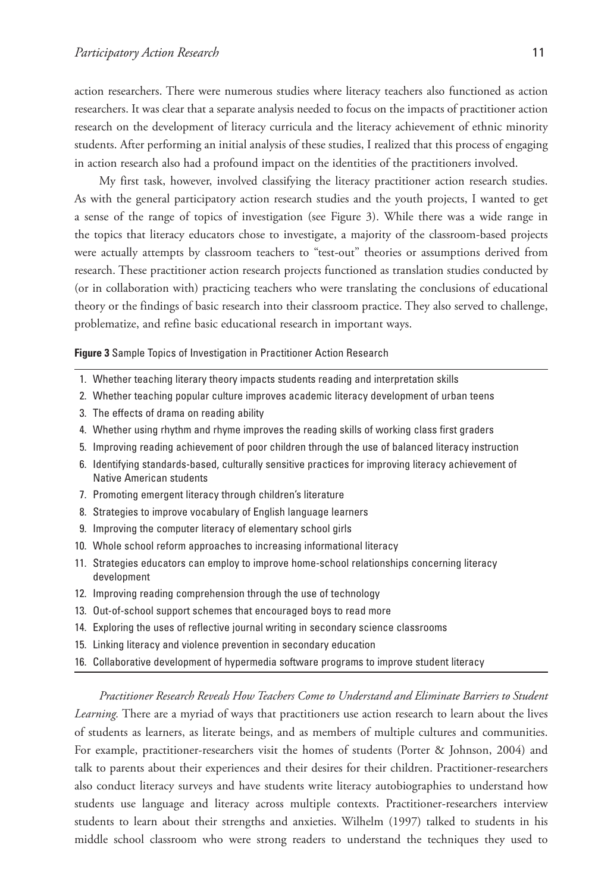action researchers. There were numerous studies where literacy teachers also functioned as action researchers. It was clear that a separate analysis needed to focus on the impacts of practitioner action research on the development of literacy curricula and the literacy achievement of ethnic minority students. After performing an initial analysis of these studies, I realized that this process of engaging in action research also had a profound impact on the identities of the practitioners involved.

My first task, however, involved classifying the literacy practitioner action research studies. As with the general participatory action research studies and the youth projects, I wanted to get a sense of the range of topics of investigation (see Figure 3). While there was a wide range in the topics that literacy educators chose to investigate, a majority of the classroom-based projects were actually attempts by classroom teachers to "test-out" theories or assumptions derived from research. These practitioner action research projects functioned as translation studies conducted by (or in collaboration with) practicing teachers who were translating the conclusions of educational theory or the findings of basic research into their classroom practice. They also served to challenge, problematize, and refine basic educational research in important ways.

**Figure 3** Sample Topics of Investigation in Practitioner Action Research

- 1. Whether teaching literary theory impacts students reading and interpretation skills
- 2. Whether teaching popular culture improves academic literacy development of urban teens
- 3. The effects of drama on reading ability
- 4. Whether using rhythm and rhyme improves the reading skills of working class first graders
- 5. Improving reading achievement of poor children through the use of balanced literacy instruction
- 6. Identifying standards-based, culturally sensitive practices for improving literacy achievement of Native American students
- 7. Promoting emergent literacy through children's literature
- 8. Strategies to improve vocabulary of English language learners
- 9. Improving the computer literacy of elementary school girls
- 10. Whole school reform approaches to increasing informational literacy
- 11. Strategies educators can employ to improve home-school relationships concerning literacy development
- 12. Improving reading comprehension through the use of technology
- 13. Out-of-school support schemes that encouraged boys to read more
- 14. Exploring the uses of reflective journal writing in secondary science classrooms
- 15. Linking literacy and violence prevention in secondary education
- 16. Collaborative development of hypermedia software programs to improve student literacy

*Practitioner Research Reveals How Teachers Come to Understand and Eliminate Barriers to Student Learning.* There are a myriad of ways that practitioners use action research to learn about the lives of students as learners, as literate beings, and as members of multiple cultures and communities. For example, practitioner-researchers visit the homes of students (Porter & Johnson, 2004) and talk to parents about their experiences and their desires for their children. Practitioner-researchers also conduct literacy surveys and have students write literacy autobiographies to understand how students use language and literacy across multiple contexts. Practitioner-researchers interview students to learn about their strengths and anxieties. Wilhelm (1997) talked to students in his middle school classroom who were strong readers to understand the techniques they used to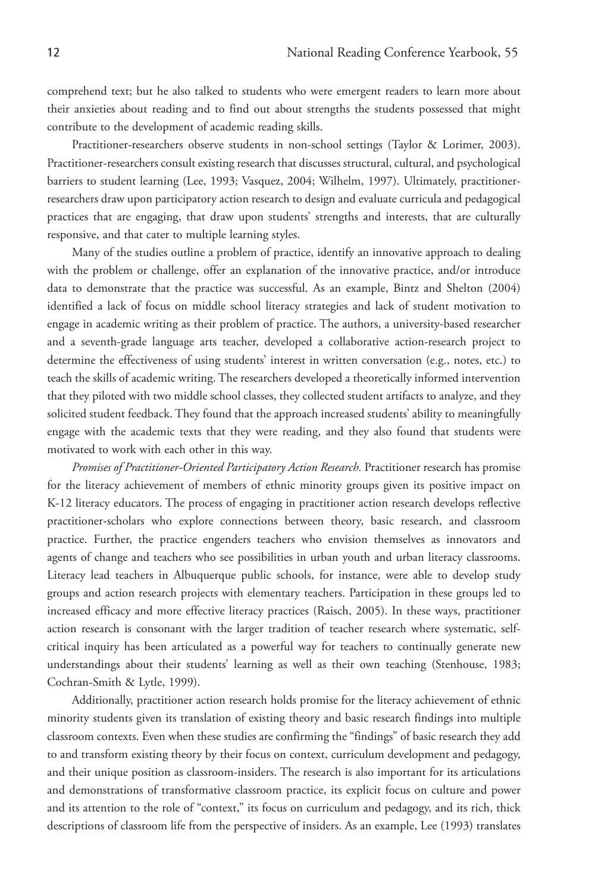comprehend text; but he also talked to students who were emergent readers to learn more about their anxieties about reading and to find out about strengths the students possessed that might contribute to the development of academic reading skills.

Practitioner-researchers observe students in non-school settings (Taylor & Lorimer, 2003). Practitioner-researchers consult existing research that discusses structural, cultural, and psychological barriers to student learning (Lee, 1993; Vasquez, 2004; Wilhelm, 1997). Ultimately, practitionerresearchers draw upon participatory action research to design and evaluate curricula and pedagogical practices that are engaging, that draw upon students' strengths and interests, that are culturally responsive, and that cater to multiple learning styles.

Many of the studies outline a problem of practice, identify an innovative approach to dealing with the problem or challenge, offer an explanation of the innovative practice, and/or introduce data to demonstrate that the practice was successful. As an example, Bintz and Shelton (2004) identified a lack of focus on middle school literacy strategies and lack of student motivation to engage in academic writing as their problem of practice. The authors, a university-based researcher and a seventh-grade language arts teacher, developed a collaborative action-research project to determine the effectiveness of using students' interest in written conversation (e.g., notes, etc.) to teach the skills of academic writing. The researchers developed a theoretically informed intervention that they piloted with two middle school classes, they collected student artifacts to analyze, and they solicited student feedback. They found that the approach increased students' ability to meaningfully engage with the academic texts that they were reading, and they also found that students were motivated to work with each other in this way.

*Promises of Practitioner-Oriented Participatory Action Research.* Practitioner research has promise for the literacy achievement of members of ethnic minority groups given its positive impact on K-12 literacy educators. The process of engaging in practitioner action research develops reflective practitioner-scholars who explore connections between theory, basic research, and classroom practice. Further, the practice engenders teachers who envision themselves as innovators and agents of change and teachers who see possibilities in urban youth and urban literacy classrooms. Literacy lead teachers in Albuquerque public schools, for instance, were able to develop study groups and action research projects with elementary teachers. Participation in these groups led to increased efficacy and more effective literacy practices (Raisch, 2005). In these ways, practitioner action research is consonant with the larger tradition of teacher research where systematic, selfcritical inquiry has been articulated as a powerful way for teachers to continually generate new understandings about their students' learning as well as their own teaching (Stenhouse, 1983; Cochran-Smith & Lytle, 1999).

Additionally, practitioner action research holds promise for the literacy achievement of ethnic minority students given its translation of existing theory and basic research findings into multiple classroom contexts. Even when these studies are confirming the "findings" of basic research they add to and transform existing theory by their focus on context, curriculum development and pedagogy, and their unique position as classroom-insiders. The research is also important for its articulations and demonstrations of transformative classroom practice, its explicit focus on culture and power and its attention to the role of "context," its focus on curriculum and pedagogy, and its rich, thick descriptions of classroom life from the perspective of insiders. As an example, Lee (1993) translates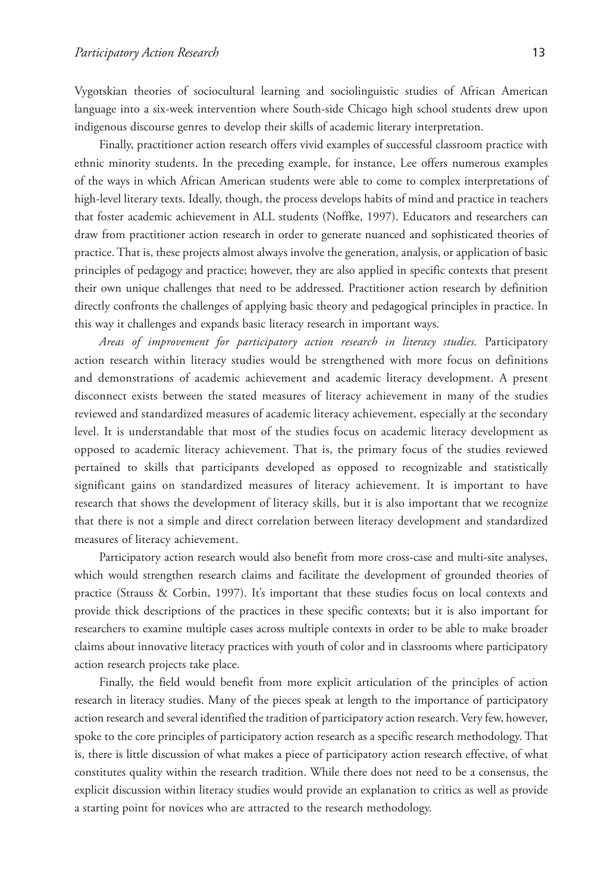Vygotskian theories of sociocultural learning and sociolinguistic studies of African American language into a six-week intervention where South-side Chicago high school students drew upon indigenous discourse genres to develop their skills of academic literary interpretation.

Finally, practitioner action research offers vivid examples of successful classroom practice with ethnic minority students. In the preceding example, for instance, Lee offers numerous examples of the ways in which African American students were able to come to complex interpretations of high-level literary texts. Ideally, though, the process develops habits of mind and practice in teachers that foster academic achievement in ALL students (Noffke, 1997). Educators and researchers can draw from practitioner action research in order to generate nuanced and sophisticated theories of practice. That is, these projects almost always involve the generation, analysis, or application of basic principles of pedagogy and practice; however, they are also applied in specific contexts that present their own unique challenges that need to be addressed. Practitioner action research by definition directly confronts the challenges of applying basic theory and pedagogical principles in practice. In this way it challenges and expands basic literacy research in important ways.

*Areas of improvement for participatory action research in literacy studies.* Participatory action research within literacy studies would be strengthened with more focus on definitions and demonstrations of academic achievement and academic literacy development. A present disconnect exists between the stated measures of literacy achievement in many of the studies reviewed and standardized measures of academic literacy achievement, especially at the secondary level. It is understandable that most of the studies focus on academic literacy development as opposed to academic literacy achievement. That is, the primary focus of the studies reviewed pertained to skills that participants developed as opposed to recognizable and statistically significant gains on standardized measures of literacy achievement. It is important to have research that shows the development of literacy skills, but it is also important that we recognize that there is not a simple and direct correlation between literacy development and standardized measures of literacy achievement.

Participatory action research would also benefit from more cross-case and multi-site analyses, which would strengthen research claims and facilitate the development of grounded theories of practice (Strauss & Corbin, 1997). It's important that these studies focus on local contexts and provide thick descriptions of the practices in these specific contexts; but it is also important for researchers to examine multiple cases across multiple contexts in order to be able to make broader claims about innovative literacy practices with youth of color and in classrooms where participatory action research projects take place.

Finally, the field would benefit from more explicit articulation of the principles of action research in literacy studies. Many of the pieces speak at length to the importance of participatory action research and several identified the tradition of participatory action research. Very few, however, spoke to the core principles of participatory action research as a specific research methodology. That is, there is little discussion of what makes a piece of participatory action research effective, of what constitutes quality within the research tradition. While there does not need to be a consensus, the explicit discussion within literacy studies would provide an explanation to critics as well as provide a starting point for novices who are attracted to the research methodology.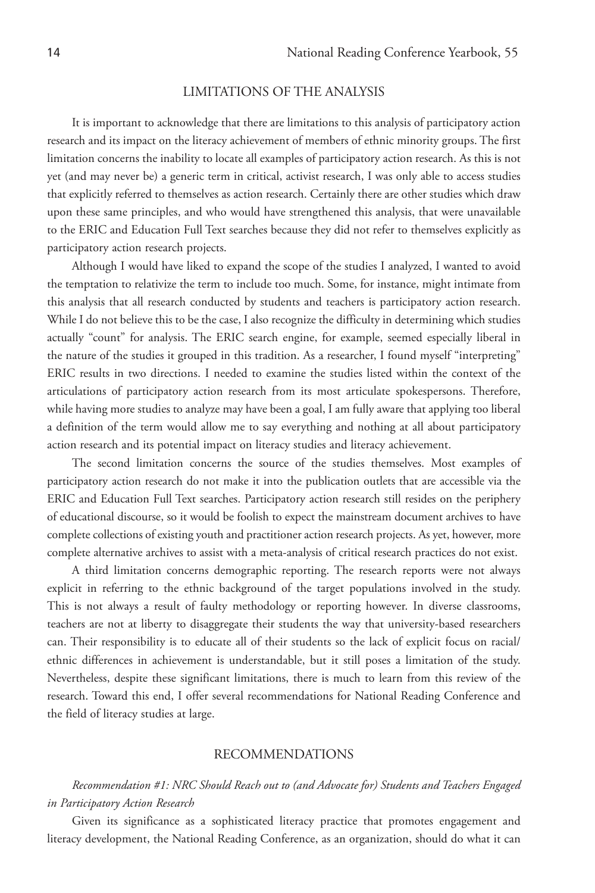## LIMITATIONS OF THE ANALYSIS

It is important to acknowledge that there are limitations to this analysis of participatory action research and its impact on the literacy achievement of members of ethnic minority groups. The first limitation concerns the inability to locate all examples of participatory action research. As this is not yet (and may never be) a generic term in critical, activist research, I was only able to access studies that explicitly referred to themselves as action research. Certainly there are other studies which draw upon these same principles, and who would have strengthened this analysis, that were unavailable to the ERIC and Education Full Text searches because they did not refer to themselves explicitly as participatory action research projects.

Although I would have liked to expand the scope of the studies I analyzed, I wanted to avoid the temptation to relativize the term to include too much. Some, for instance, might intimate from this analysis that all research conducted by students and teachers is participatory action research. While I do not believe this to be the case, I also recognize the difficulty in determining which studies actually "count" for analysis. The ERIC search engine, for example, seemed especially liberal in the nature of the studies it grouped in this tradition. As a researcher, I found myself "interpreting" ERIC results in two directions. I needed to examine the studies listed within the context of the articulations of participatory action research from its most articulate spokespersons. Therefore, while having more studies to analyze may have been a goal, I am fully aware that applying too liberal a definition of the term would allow me to say everything and nothing at all about participatory action research and its potential impact on literacy studies and literacy achievement.

The second limitation concerns the source of the studies themselves. Most examples of participatory action research do not make it into the publication outlets that are accessible via the ERIC and Education Full Text searches. Participatory action research still resides on the periphery of educational discourse, so it would be foolish to expect the mainstream document archives to have complete collections of existing youth and practitioner action research projects. As yet, however, more complete alternative archives to assist with a meta-analysis of critical research practices do not exist.

A third limitation concerns demographic reporting. The research reports were not always explicit in referring to the ethnic background of the target populations involved in the study. This is not always a result of faulty methodology or reporting however. In diverse classrooms, teachers are not at liberty to disaggregate their students the way that university-based researchers can. Their responsibility is to educate all of their students so the lack of explicit focus on racial/ ethnic differences in achievement is understandable, but it still poses a limitation of the study. Nevertheless, despite these significant limitations, there is much to learn from this review of the research. Toward this end, I offer several recommendations for National Reading Conference and the field of literacy studies at large.

#### RECOMMENDATIONS

## *Recommendation #1: NRC Should Reach out to (and Advocate for) Students and Teachers Engaged in Participatory Action Research*

Given its significance as a sophisticated literacy practice that promotes engagement and literacy development, the National Reading Conference, as an organization, should do what it can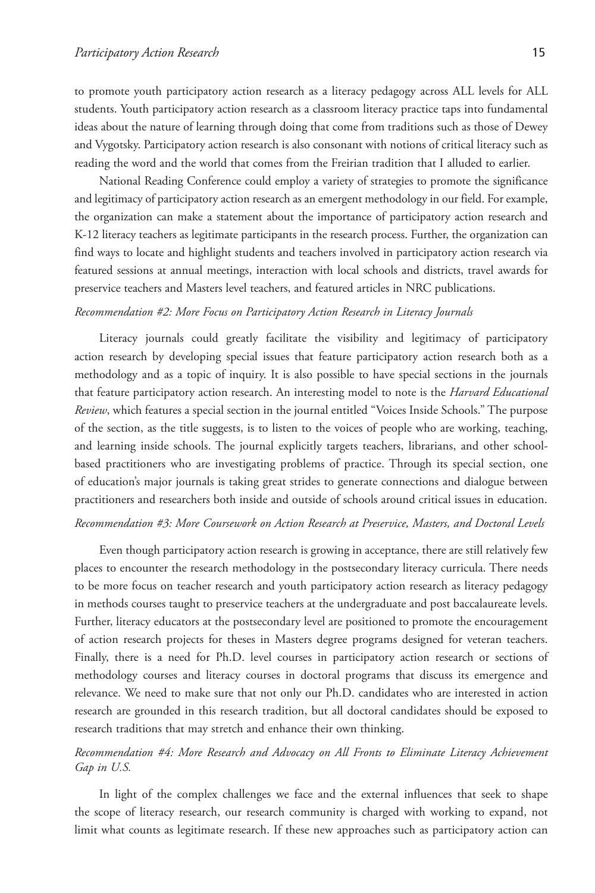to promote youth participatory action research as a literacy pedagogy across ALL levels for ALL students. Youth participatory action research as a classroom literacy practice taps into fundamental ideas about the nature of learning through doing that come from traditions such as those of Dewey and Vygotsky. Participatory action research is also consonant with notions of critical literacy such as reading the word and the world that comes from the Freirian tradition that I alluded to earlier.

National Reading Conference could employ a variety of strategies to promote the significance and legitimacy of participatory action research as an emergent methodology in our field. For example, the organization can make a statement about the importance of participatory action research and K-12 literacy teachers as legitimate participants in the research process. Further, the organization can find ways to locate and highlight students and teachers involved in participatory action research via featured sessions at annual meetings, interaction with local schools and districts, travel awards for preservice teachers and Masters level teachers, and featured articles in NRC publications.

#### *Recommendation #2: More Focus on Participatory Action Research in Literacy Journals*

 Literacy journals could greatly facilitate the visibility and legitimacy of participatory action research by developing special issues that feature participatory action research both as a methodology and as a topic of inquiry. It is also possible to have special sections in the journals that feature participatory action research. An interesting model to note is the *Harvard Educational Review*, which features a special section in the journal entitled "Voices Inside Schools." The purpose of the section, as the title suggests, is to listen to the voices of people who are working, teaching, and learning inside schools. The journal explicitly targets teachers, librarians, and other schoolbased practitioners who are investigating problems of practice. Through its special section, one of education's major journals is taking great strides to generate connections and dialogue between practitioners and researchers both inside and outside of schools around critical issues in education.

#### *Recommendation #3: More Coursework on Action Research at Preservice, Masters, and Doctoral Levels*

Even though participatory action research is growing in acceptance, there are still relatively few places to encounter the research methodology in the postsecondary literacy curricula. There needs to be more focus on teacher research and youth participatory action research as literacy pedagogy in methods courses taught to preservice teachers at the undergraduate and post baccalaureate levels. Further, literacy educators at the postsecondary level are positioned to promote the encouragement of action research projects for theses in Masters degree programs designed for veteran teachers. Finally, there is a need for Ph.D. level courses in participatory action research or sections of methodology courses and literacy courses in doctoral programs that discuss its emergence and relevance. We need to make sure that not only our Ph.D. candidates who are interested in action research are grounded in this research tradition, but all doctoral candidates should be exposed to research traditions that may stretch and enhance their own thinking.

## *Recommendation #4: More Research and Advocacy on All Fronts to Eliminate Literacy Achievement Gap in U.S.*

In light of the complex challenges we face and the external influences that seek to shape the scope of literacy research, our research community is charged with working to expand, not limit what counts as legitimate research. If these new approaches such as participatory action can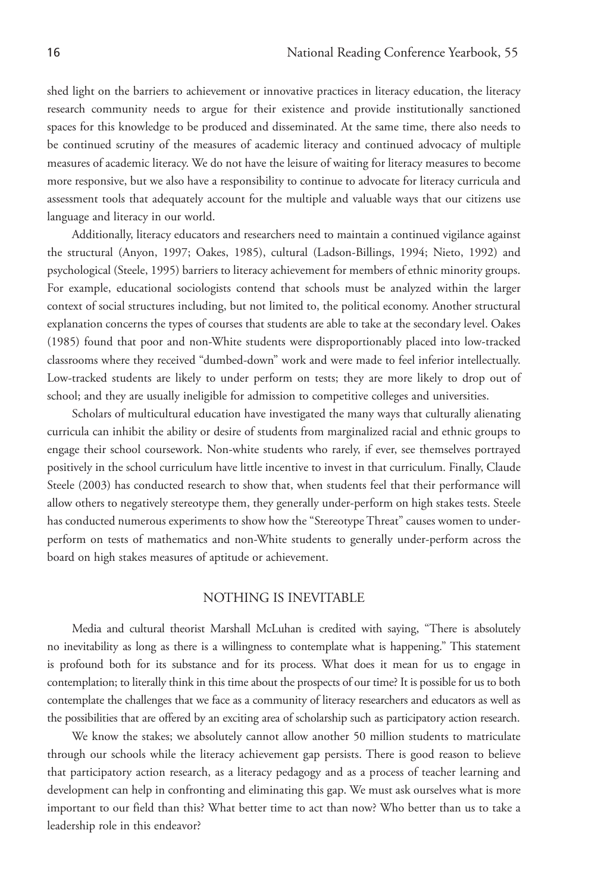shed light on the barriers to achievement or innovative practices in literacy education, the literacy research community needs to argue for their existence and provide institutionally sanctioned spaces for this knowledge to be produced and disseminated. At the same time, there also needs to be continued scrutiny of the measures of academic literacy and continued advocacy of multiple measures of academic literacy. We do not have the leisure of waiting for literacy measures to become more responsive, but we also have a responsibility to continue to advocate for literacy curricula and assessment tools that adequately account for the multiple and valuable ways that our citizens use language and literacy in our world.

Additionally, literacy educators and researchers need to maintain a continued vigilance against the structural (Anyon, 1997; Oakes, 1985), cultural (Ladson-Billings, 1994; Nieto, 1992) and psychological (Steele, 1995) barriers to literacy achievement for members of ethnic minority groups. For example, educational sociologists contend that schools must be analyzed within the larger context of social structures including, but not limited to, the political economy. Another structural explanation concerns the types of courses that students are able to take at the secondary level. Oakes (1985) found that poor and non-White students were disproportionably placed into low-tracked classrooms where they received "dumbed-down" work and were made to feel inferior intellectually. Low-tracked students are likely to under perform on tests; they are more likely to drop out of school; and they are usually ineligible for admission to competitive colleges and universities.

Scholars of multicultural education have investigated the many ways that culturally alienating curricula can inhibit the ability or desire of students from marginalized racial and ethnic groups to engage their school coursework. Non-white students who rarely, if ever, see themselves portrayed positively in the school curriculum have little incentive to invest in that curriculum. Finally, Claude Steele (2003) has conducted research to show that, when students feel that their performance will allow others to negatively stereotype them, they generally under-perform on high stakes tests. Steele has conducted numerous experiments to show how the "Stereotype Threat" causes women to underperform on tests of mathematics and non-White students to generally under-perform across the board on high stakes measures of aptitude or achievement.

## NOTHING IS INEVITABLE

Media and cultural theorist Marshall McLuhan is credited with saying, "There is absolutely no inevitability as long as there is a willingness to contemplate what is happening." This statement is profound both for its substance and for its process. What does it mean for us to engage in contemplation; to literally think in this time about the prospects of our time? It is possible for us to both contemplate the challenges that we face as a community of literacy researchers and educators as well as the possibilities that are offered by an exciting area of scholarship such as participatory action research.

We know the stakes; we absolutely cannot allow another 50 million students to matriculate through our schools while the literacy achievement gap persists. There is good reason to believe that participatory action research, as a literacy pedagogy and as a process of teacher learning and development can help in confronting and eliminating this gap. We must ask ourselves what is more important to our field than this? What better time to act than now? Who better than us to take a leadership role in this endeavor?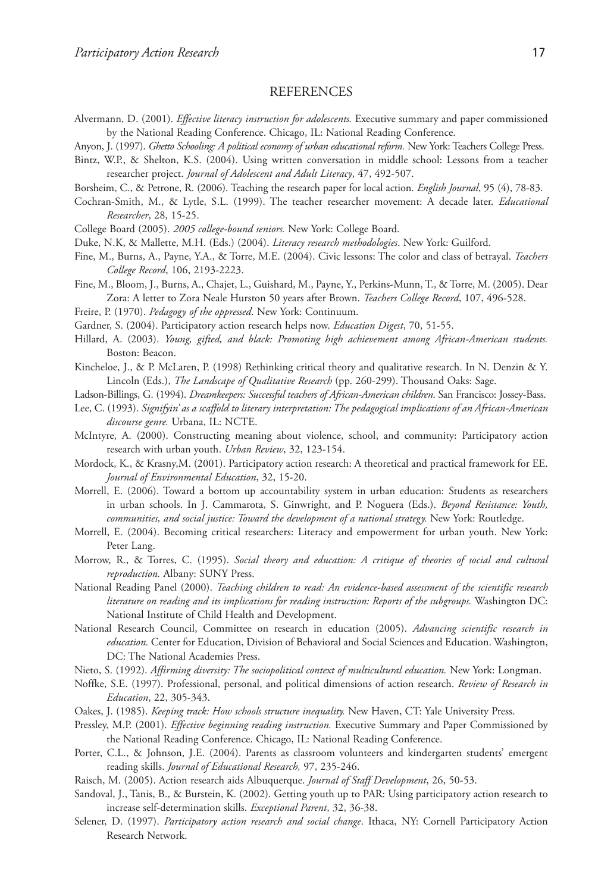### **REFERENCES**

- Alvermann, D. (2001). *Effective literacy instruction for adolescents.* Executive summary and paper commissioned by the National Reading Conference. Chicago, IL: National Reading Conference.
- Anyon, J. (1997). *Ghetto Schooling: A political economy of urban educational reform.* New York: Teachers College Press.
- Bintz, W.P., & Shelton, K.S. (2004). Using written conversation in middle school: Lessons from a teacher researcher project. *Journal of Adolescent and Adult Literacy*, 47, 492-507.
- Borsheim, C., & Petrone, R. (2006). Teaching the research paper for local action. *English Journal*, 95 (4), 78-83.
- Cochran-Smith, M., & Lytle, S.L. (1999). The teacher researcher movement: A decade later. *Educational Researcher*, 28, 15-25.
- College Board (2005). *2005 college-bound seniors.* New York: College Board.
- Duke, N.K, & Mallette, M.H. (Eds.) (2004). *Literacy research methodologies*. New York: Guilford.
- Fine, M., Burns, A., Payne, Y.A., & Torre, M.E. (2004). Civic lessons: The color and class of betrayal. *Teachers College Record*, 106, 2193-2223.
- Fine, M., Bloom, J., Burns, A., Chajet, L., Guishard, M., Payne, Y., Perkins-Munn, T., & Torre, M. (2005). Dear Zora: A letter to Zora Neale Hurston 50 years after Brown. *Teachers College Record*, 107, 496-528.
- Freire, P. (1970). *Pedagogy of the oppressed*. New York: Continuum.
- Gardner, S. (2004). Participatory action research helps now. *Education Digest*, 70, 51-55.
- Hillard, A. (2003). *Young, gifted, and black: Promoting high achievement among African-American students.*  Boston: Beacon.
- Kincheloe, J., & P. McLaren, P. (1998) Rethinking critical theory and qualitative research. In N. Denzin & Y. Lincoln (Eds.), *The Landscape of Qualitative Research* (pp. 260-299). Thousand Oaks: Sage.
- Ladson-Billings, G. (1994). *Dreamkeepers: Successful teachers of African-American children*. San Francisco: Jossey-Bass.
- Lee, C. (1993). *Signifyin' as a scaffold to literary interpretation: The pedagogical implications of an African-American discourse genre.* Urbana, IL: NCTE.
- McIntyre, A. (2000). Constructing meaning about violence, school, and community: Participatory action research with urban youth. *Urban Review*, 32, 123-154.
- Mordock, K., & Krasny,M. (2001). Participatory action research: A theoretical and practical framework for EE. *Journal of Environmental Education*, 32, 15-20.
- Morrell, E. (2006). Toward a bottom up accountability system in urban education: Students as researchers in urban schools. In J. Cammarota, S. Ginwright, and P. Noguera (Eds.). *Beyond Resistance: Youth, communities, and social justice: Toward the development of a national strategy.* New York: Routledge.
- Morrell, E. (2004). Becoming critical researchers: Literacy and empowerment for urban youth. New York: Peter Lang.
- Morrow, R., & Torres, C. (1995). *Social theory and education: A critique of theories of social and cultural reproduction.* Albany: SUNY Press.
- National Reading Panel (2000). *Teaching children to read: An evidence-based assessment of the scientific research literature on reading and its implications for reading instruction: Reports of the subgroups.* Washington DC: National Institute of Child Health and Development.
- National Research Council, Committee on research in education (2005). *Advancing scientific research in education.* Center for Education, Division of Behavioral and Social Sciences and Education. Washington, DC: The National Academies Press.
- Nieto, S. (1992). *Affirming diversity: The sociopolitical context of multicultural education.* New York: Longman.
- Noffke, S.E. (1997). Professional, personal, and political dimensions of action research. *Review of Research in Education*, 22, 305-343.
- Oakes, J. (1985). *Keeping track: How schools structure inequality.* New Haven, CT: Yale University Press.
- Pressley, M.P. (2001). *Effective beginning reading instruction.* Executive Summary and Paper Commissioned by the National Reading Conference. Chicago, IL: National Reading Conference.
- Porter, C.L., & Johnson, J.E. (2004). Parents as classroom volunteers and kindergarten students' emergent reading skills. *Journal of Educational Research,* 97, 235-246.
- Raisch, M. (2005). Action research aids Albuquerque. *Journal of Staff Development*, 26, 50-53.
- Sandoval, J., Tanis, B., & Burstein, K. (2002). Getting youth up to PAR: Using participatory action research to increase self-determination skills. *Exceptional Parent*, 32, 36-38.
- Selener, D. (1997). *Participatory action research and social change*. Ithaca, NY: Cornell Participatory Action Research Network.